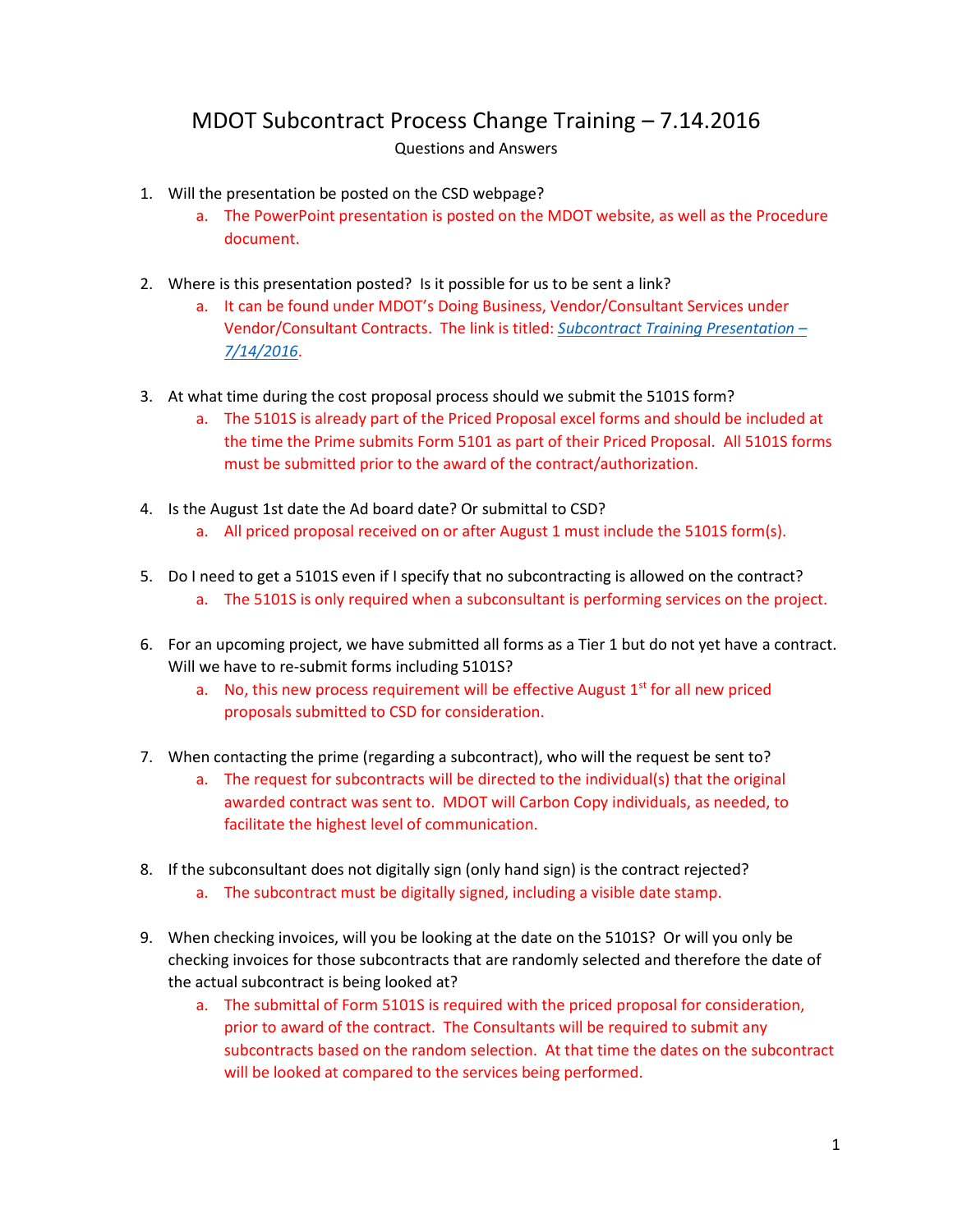## MDOT Subcontract Process Change Training – 7.14.2016 Questions and Answers

- 1. Will the presentation be posted on the CSD webpage?
	- a. The PowerPoint presentation is posted on the MDOT website, as well as the Procedure document.
- 2. Where is this presentation posted? Is it possible for us to be sent a link?
	- a. It can be found under MDOT's Doing Business, Vendor/Consultant Services under Vendor/Consultant Contracts. The link is titled: *[Subcontract Training Presentation](http://www.michigan.gov/documents/mdot/Subcontract_Training_Presentation_-_7-14-16_529363_7.pdf) – [7/14/2016](http://www.michigan.gov/documents/mdot/Subcontract_Training_Presentation_-_7-14-16_529363_7.pdf)*.
- 3. At what time during the cost proposal process should we submit the 5101S form?
	- a. The 5101S is already part of the Priced Proposal excel forms and should be included at the time the Prime submits Form 5101 as part of their Priced Proposal. All 5101S forms must be submitted prior to the award of the contract/authorization.
- 4. Is the August 1st date the Ad board date? Or submittal to CSD? a. All priced proposal received on or after August 1 must include the 5101S form(s).
- 5. Do I need to get a 5101S even if I specify that no subcontracting is allowed on the contract? a. The 5101S is only required when a subconsultant is performing services on the project.
- 6. For an upcoming project, we have submitted all forms as a Tier 1 but do not yet have a contract. Will we have to re-submit forms including 5101S?
	- a. No, this new process requirement will be effective August  $1<sup>st</sup>$  for all new priced proposals submitted to CSD for consideration.
- 7. When contacting the prime (regarding a subcontract), who will the request be sent to?
	- a. The request for subcontracts will be directed to the individual(s) that the original awarded contract was sent to. MDOT will Carbon Copy individuals, as needed, to facilitate the highest level of communication.
- 8. If the subconsultant does not digitally sign (only hand sign) is the contract rejected?
	- a. The subcontract must be digitally signed, including a visible date stamp.
- 9. When checking invoices, will you be looking at the date on the 5101S? Or will you only be checking invoices for those subcontracts that are randomly selected and therefore the date of the actual subcontract is being looked at?
	- a. The submittal of Form 5101S is required with the priced proposal for consideration, prior to award of the contract. The Consultants will be required to submit any subcontracts based on the random selection. At that time the dates on the subcontract will be looked at compared to the services being performed.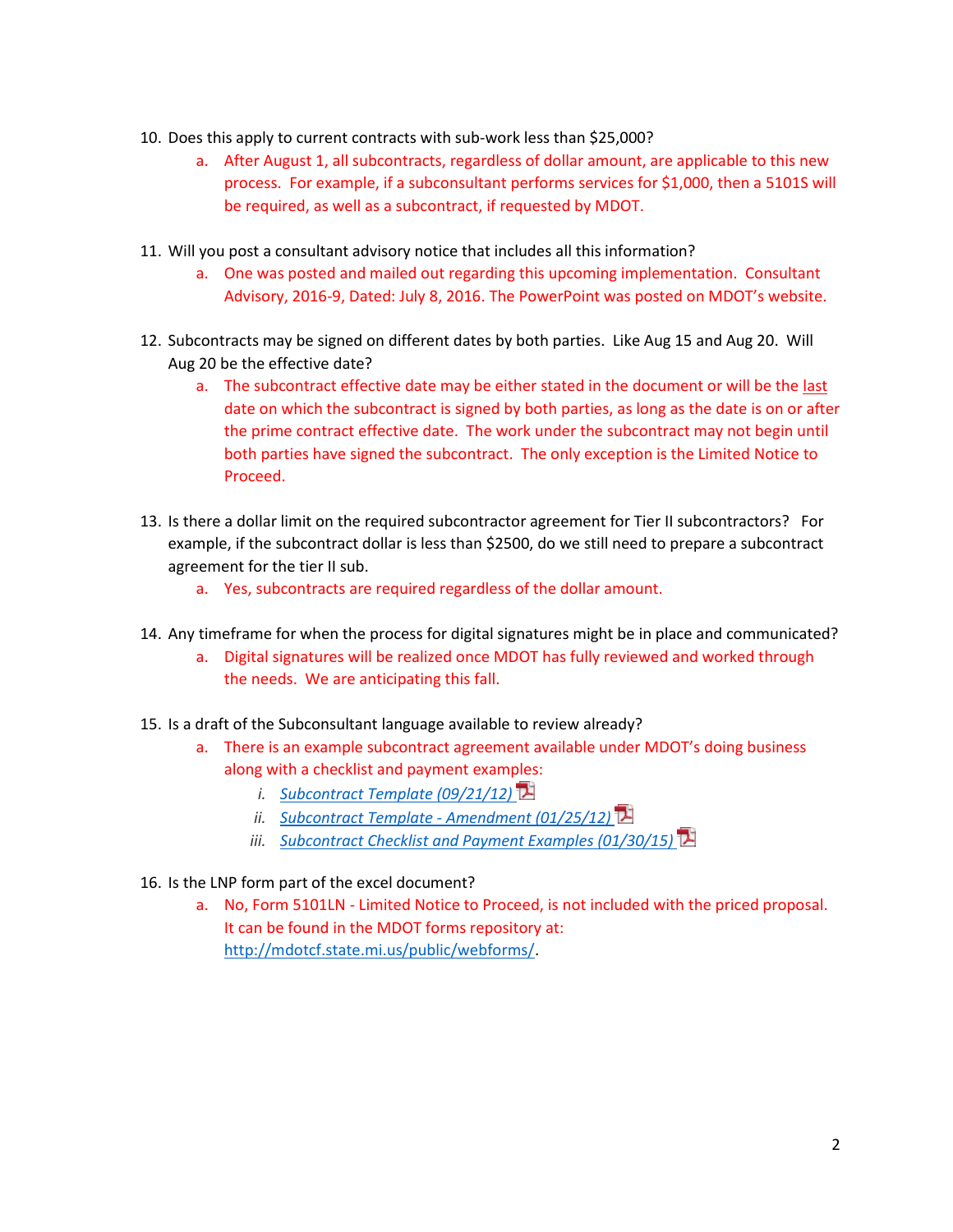- 10. Does this apply to current contracts with sub-work less than \$25,000?
	- a. After August 1, all subcontracts, regardless of dollar amount, are applicable to this new process. For example, if a subconsultant performs services for \$1,000, then a 5101S will be required, as well as a subcontract, if requested by MDOT.
- 11. Will you post a consultant advisory notice that includes all this information?
	- a. One was posted and mailed out regarding this upcoming implementation. Consultant Advisory, 2016-9, Dated: July 8, 2016. The PowerPoint was posted on MDOT's website.
- 12. Subcontracts may be signed on different dates by both parties. Like Aug 15 and Aug 20. Will Aug 20 be the effective date?
	- a. The subcontract effective date may be either stated in the document or will be the last date on which the subcontract is signed by both parties, as long as the date is on or after the prime contract effective date. The work under the subcontract may not begin until both parties have signed the subcontract. The only exception is the Limited Notice to Proceed.
- 13. Is there a dollar limit on the required subcontractor agreement for Tier II subcontractors? For example, if the subcontract dollar is less than \$2500, do we still need to prepare a subcontract agreement for the tier II sub.
	- a. Yes, subcontracts are required regardless of the dollar amount.
- 14. Any timeframe for when the process for digital signatures might be in place and communicated?
	- a. Digital signatures will be realized once MDOT has fully reviewed and worked through the needs. We are anticipating this fall.
- 15. Is a draft of the Subconsultant language available to review already?
	- a. There is an example subcontract agreement available under MDOT's doing business along with a checklist and payment examples:
		- *i. [Subcontract Template \(09/21/12\)](http://www.michigan.gov/documents/mdot/MDOT_Subcontract_Template_336285_7.pdf)*
		- *ii. Subcontract Template - [Amendment \(01/25/12\)](http://www.michigan.gov/documents/mdot/Amendment_Subcontract_Template_374609_7.pdf)*
		- *iii. [Subcontract Checklist and Payment Examples \(01/30/15\)](http://www.michigan.gov/documents/mdot/mdot_subcontract_checklist_and_payment_examples_355439_7.pdf)*
- 16. Is the LNP form part of the excel document?
	- a. No, Form 5101LN Limited Notice to Proceed, is not included with the priced proposal. It can be found in the MDOT forms repository at: [http://mdotcf.state.mi.us/public/webforms/.](http://mdotcf.state.mi.us/public/webforms/)